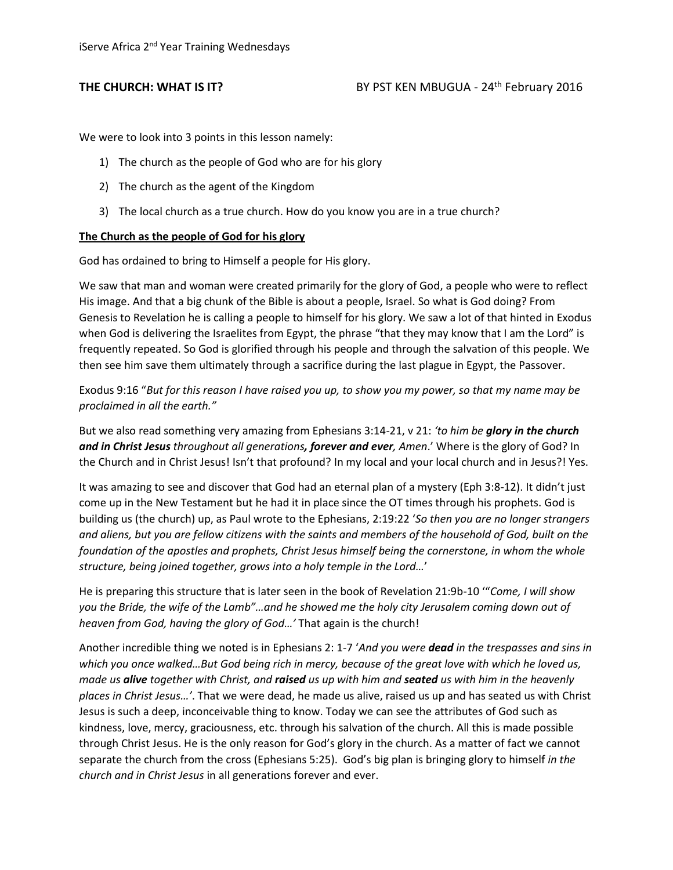We were to look into 3 points in this lesson namely:

- 1) The church as the people of God who are for his glory
- 2) The church as the agent of the Kingdom
- 3) The local church as a true church. How do you know you are in a true church?

## **The Church as the people of God for his glory**

God has ordained to bring to Himself a people for His glory.

We saw that man and woman were created primarily for the glory of God, a people who were to reflect His image. And that a big chunk of the Bible is about a people, Israel. So what is God doing? From Genesis to Revelation he is calling a people to himself for his glory. We saw a lot of that hinted in Exodus when God is delivering the Israelites from Egypt, the phrase "that they may know that I am the Lord" is frequently repeated. So God is glorified through his people and through the salvation of this people. We then see him save them ultimately through a sacrifice during the last plague in Egypt, the Passover.

Exodus 9:16 "*But for this reason I have raised you up, to show you my power, so that my name may be proclaimed in all the earth."*

But we also read something very amazing from Ephesians 3:14-21, v 21: *'to him be glory in the church and in Christ Jesus throughout all generations, forever and ever, Amen*.' Where is the glory of God? In the Church and in Christ Jesus! Isn't that profound? In my local and your local church and in Jesus?! Yes.

It was amazing to see and discover that God had an eternal plan of a mystery (Eph 3:8-12). It didn't just come up in the New Testament but he had it in place since the OT times through his prophets. God is building us (the church) up, as Paul wrote to the Ephesians, 2:19:22 '*So then you are no longer strangers and aliens, but you are fellow citizens with the saints and members of the household of God, built on the foundation of the apostles and prophets, Christ Jesus himself being the cornerstone, in whom the whole structure, being joined together, grows into a holy temple in the Lord…*'

He is preparing this structure that is later seen in the book of Revelation 21:9b-10 '"*Come, I will show you the Bride, the wife of the Lamb"…and he showed me the holy city Jerusalem coming down out of heaven from God, having the glory of God…'* That again is the church!

Another incredible thing we noted is in Ephesians 2: 1-7 '*And you were dead in the trespasses and sins in*  which you once walked...But God being rich in mercy, because of the great love with which he loved us, *made us alive together with Christ, and raised us up with him and seated us with him in the heavenly places in Christ Jesus…'*. That we were dead, he made us alive, raised us up and has seated us with Christ Jesus is such a deep, inconceivable thing to know. Today we can see the attributes of God such as kindness, love, mercy, graciousness, etc. through his salvation of the church. All this is made possible through Christ Jesus. He is the only reason for God's glory in the church. As a matter of fact we cannot separate the church from the cross (Ephesians 5:25). God's big plan is bringing glory to himself *in the church and in Christ Jesus* in all generations forever and ever.